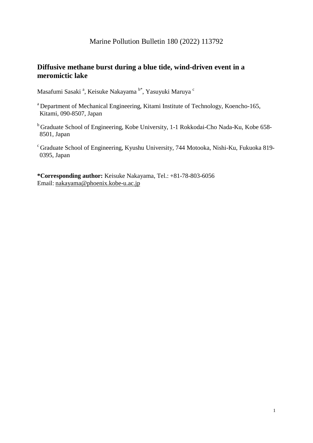# Marine Pollution Bulletin 180 (2022) 113792

# **Diffusive methane burst during a blue tide, wind-driven event in a meromictic lake**

Masafumi Sasaki <sup>a</sup>, Keisuke Nakayama <sup>b\*</sup>, Yasuyuki Maruya <sup>c</sup>

- a Department of Mechanical Engineering, Kitami Institute of Technology, Koencho-165, Kitami, 090-8507, Japan
- <sup>b</sup> Graduate School of Engineering, Kobe University, 1-1 Rokkodai-Cho Nada-Ku, Kobe 658-8501, Japan
- $c$  Graduate School of Engineering, Kyushu University, 744 Motooka, Nishi-Ku, Fukuoka 819-0395, Japan

**\*Corresponding author:** Keisuke Nakayama, Tel.: +81-78-803-6056 Email: [nakayama@phoenix.kobe-u.ac.jp](about:blank)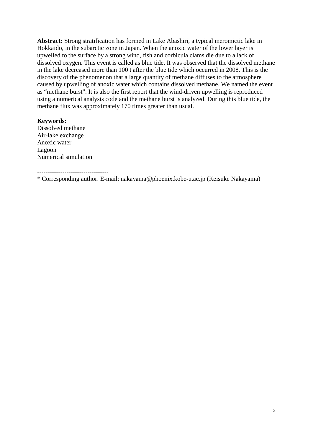**Abstract:** Strong stratification has formed in Lake Abashiri, a typical meromictic lake in Hokkaido, in the subarctic zone in Japan. When the anoxic water of the lower layer is upwelled to the surface by a strong wind, fish and corbicula clams die due to a lack of dissolved oxygen. This event is called as blue tide. It was observed that the dissolved methane in the lake decreased more than 100 t after the blue tide which occurred in 2008. This is the discovery of the phenomenon that a large quantity of methane diffuses to the atmosphere caused by upwelling of anoxic water which contains dissolved methane. We named the event as "methane burst". It is also the first report that the wind-driven upwelling is reproduced using a numerical analysis code and the methane burst is analyzed. During this blue tide, the methane flux was approximately 170 times greater than usual.

### **Keywords:**

Dissolved methane Air-lake exchange Anoxic water Lagoon Numerical simulation

----------------------------------

\* Corresponding author. E-mail: nakayama@phoenix.kobe-u.ac.jp (Keisuke Nakayama)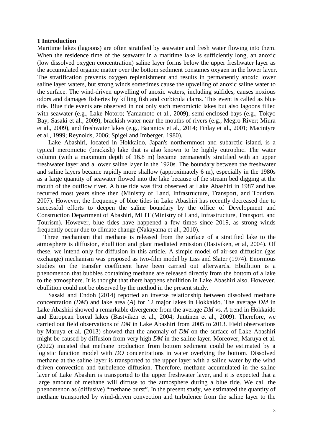#### **1 Introduction**

Maritime lakes (lagoons) are often stratified by seawater and fresh water flowing into them. When the residence time of the seawater in a maritime lake is sufficiently long, an anoxic (low dissolved oxygen concentration) saline layer forms below the upper freshwater layer as the accumulated organic matter over the bottom sediment consumes oxygen in the lower layer. The stratification prevents oxygen replenishment and results in permanently anoxic lower saline layer waters, but strong winds sometimes cause the upwelling of anoxic saline water to the surface. The wind-driven upwelling of anoxic waters, including sulfides, causes noxious odors and damages fisheries by killing fish and corbicula clams. This event is called as blue tide. Blue tide events are observed in not only such meromictic lakes but also lagoons filled with seawater (e.g., Lake Notoro; Yamamoto et al., 2009), semi-enclosed bays (e.g., Tokyo Bay; Sasaki et al., 2009), brackish water near the mouths of rivers (e.g., Megro River; Miura et al., 2009), and freshwater lakes (e.g., Bacaniov et al., 2014; Finlay et al., 2001; Macintyre et al., 1999; Reynolds, 2006; Spigel and Imberger, 1980).

Lake Abashiri, located in Hokkaido, Japan's northernmost and subarctic island, is a typical meromictic (brackish) lake that is also known to be highly eutrophic. The water column (with a maximum depth of 16.8 m) became permanently stratified with an upper freshwater layer and a lower saline layer in the 1920s. The boundary between the freshwater and saline layers became rapidly more shallow (approximately 6 m), especially in the 1980s as a large quantity of seawater flowed into the lake because of the stream bed digging at the mouth of the outflow river. A blue tide was first observed at Lake Abashiri in 1987 and has recurred most years since then (Ministry of Land, Infrastructure, Transport, and Tourism, 2007). However, the frequency of blue tides in Lake Abashiri has recently decreased due to successful efforts to deepen the saline boundary by the office of Development and Construction Department of Abashiri, MLIT (Ministry of Land, Infrastructure, Transport, and Tourism). However, blue tides have happened a few times since 2019, as strong winds frequently occur due to climate change (Nakayama et al., 2010).

Three mechanism that methane is released from the surface of a stratified lake to the atmosphere is diffusion, ebullition and plant mediated emission (Bastviken, et al, 2004). Of these, we intend only for diffusion in this article. A simple model of air-sea diffusion (gas exchange) mechanism was proposed as two-film model by Liss and Slater (1974). Enormous studies on the transfer coefficient have been carried out afterwards. Ebullition is a phenomenon that bubbles containing methane are released directly from the bottom of a lake to the atmosphere. It is thought that there happens ebullition in Lake Abashiri also. However, ebullition could not be observed by the method in the present study.

Sasaki and Endoh (2014) reported an inverse relationship between dissolved methane concentration (*DM*) and lake area (*A*) for 12 major lakes in Hokkaido. The average *DM* in Lake Abashiri showed a remarkable divergence from the average *DM* vs. *A* trend in Hokkaido and European boreal lakes (Bastviken et al., 2004; Juutinen et al., 2009). Therefore, we carried out field observations of *DM* in Lake Abashiri from 2005 to 2013. Field observations by Maruya et al. (2013) showed that the anomaly of *DM* on the surface of Lake Abashiri might be caused by diffusion from very high *DM* in the saline layer. Moreover, Maruya et al. (2022) inicated that methane production from bottom sediment could be estimated by a logistic function model with *DO* concentrations in water overlying the bottom. Dissolved methane at the saline layer is transported to the upper layer with a saline water by the wind driven convection and turbulence diffusion. Therefore, methane accumulated in the saline layer of Lake Abashiri is transported to the upper freshwater layer, and it is expected that a large amount of methane will diffuse to the atmosphere during a blue tide. We call the phenomenon as (diffusive) "methane burst". In the present study, we estimated the quantity of methane transported by wind-driven convection and turbulence from the saline layer to the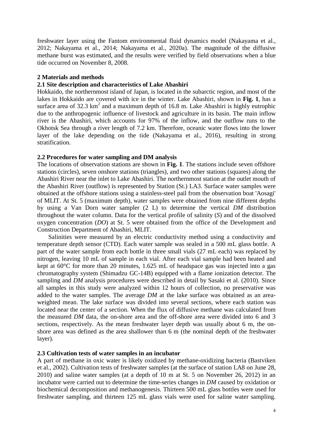freshwater layer using the Fantom environmental fluid dynamics model (Nakayama et al., 2012; Nakayama et al., 2014; Nakayama et al., 2020a). The magnitude of the diffusive methane burst was estimated, and the results were verified by field observations when a blue tide occurred on November 8, 2008.

# **2 Materials and methods**

# **2.1 Site description and characteristics of Lake Abashiri**

Hokkaido, the northernmost island of Japan, is located in the subarctic region, and most of the lakes in Hokkaido are covered with ice in the winter. Lake Abashiri, shown in **Fig. 1**, has a surface area of  $32.3 \text{ km}^2$  and a maximum depth of 16.8 m. Lake Abashiri is highly eutrophic due to the anthropogenic influence of livestock and agriculture in its basin. The main inflow river is the Abashiri, which accounts for 97% of the inflow, and the outflow runs to the Okhotsk Sea through a river length of 7.2 km. Therefore, oceanic water flows into the lower layer of the lake depending on the tide (Nakayama et al., 2016), resulting in strong stratification.

### **2.2 Procedures for water sampling and DM analysis**

The locations of observation stations are shown in **Fig. 1**. The stations include seven offshore stations (circles), seven onshore stations (triangles), and two other stations (squares) along the Abashiri River near the inlet to Lake Abashiri. The northernmost station at the outlet mouth of the Abashiri River (outflow) is represented by Station (St.) LA3. Surface water samples were obtained at the offshore stations using a stainless-steel pail from the observation boat 'Aosagi' of MLIT. At St. 5 (maximum depth), water samples were obtained from nine different depths by using a Van Dorn water sampler (2 L) to determine the vertical *DM* distribution throughout the water column. Data for the vertical profile of salinity (*S*) and of the dissolved oxygen concentration (*DO*) at St. 5 were obtained from the office of the Development and Construction Department of Abashiri, MLIT.

Salinities were measured by an electric conductivity method using a conductivity and temperature depth sensor (CTD). Each water sample was sealed in a 500 mL glass bottle. A part of the water sample from each bottle in three small vials (27 mL each) was replaced by nitrogen, leaving 10 mL of sample in each vial. After each vial sample had been heated and kept at 60°C for more than 20 minutes, 1.625 mL of headspace gas was injected into a gas chromatography system (Shimadzu GC-14B) equipped with a flame ionization detector. The sampling and *DM* analysis procedures were described in detail by Sasaki et al. (2010). Since all samples in this study were analyzed within 12 hours of collection, no preservative was added to the water samples. The average *DM* at the lake surface was obtained as an areaweighted mean. The lake surface was divided into several sections, where each station was located near the center of a section. When the flux of diffusive methane was calculated from the measured *DM* data, the on-shore area and the off-shore area were divided into 6 and 3 sections, respectively. As the mean freshwater layer depth was usually about 6 m, the onshore area was defined as the area shallower than 6 m (the nominal depth of the freshwater layer).

#### **2.3 Cultivation tests of water samples in an incubator**

A part of methane in oxic water is likely oxidized by methane-oxidizing bacteria (Bastviken et al., 2002). Cultivation tests of freshwater samples (at the surface of station LA8 on June 28, 2010) and saline water samples (at a depth of 10 m at St. 5 on November 26, 2012) in an incubator were carried out to determine the time-series changes in *DM* caused by oxidation or biochemical decomposition and methanogenesis. Thirteen 500 mL glass bottles were used for freshwater sampling, and thirteen 125 mL glass vials were used for saline water sampling.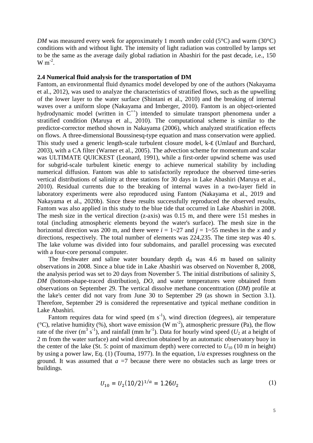*DM* was measured every week for approximately 1 month under cold (5 $\degree$ C) and warm (30 $\degree$ C) conditions with and without light. The intensity of light radiation was controlled by lamps set to be the same as the average daily global radiation in Abashiri for the past decade, i.e., 150  $W m^{-2}$ .

#### **2.4 Numerical fluid analysis for the transportation of DM**

Fantom, an environmental fluid dynamics model developed by one of the authors (Nakayama et al., 2012), was used to analyze the characteristics of stratified flows, such as the upwelling of the lower layer to the water surface (Shintani et al., 2010) and the breaking of internal waves over a uniform slope (Nakayama and Imberger, 2010). Fantom is an object-oriented hydrodynamic model (written in  $C^{++}$ ) intended to simulate transport phenomena under a stratified condition (Maruya et al., 2010). The computational scheme is similar to the predictor-corrector method shown in Nakayama (2006), which analyzed stratification effects on flows. A three-dimensional Boussinesq-type equation and mass conservation were applied. This study used a generic length-scale turbulent closure model, k-e (Umlauf and Burchard, 2003), with a CA filter (Warner et al., 2005). The advection scheme for momentum and scalar was ULTIMATE QUICKEST (Leonard, 1991), while a first-order upwind scheme was used for subgrid-scale turbulent kinetic energy to achieve numerical stability by including numerical diffusion. Fantom was able to satisfactorily reproduce the observed time-series vertical distributions of salinity at three stations for 30 days in Lake Abashiri (Maruya et al., 2010). Residual currents due to the breaking of internal waves in a two-layer field in laboratory experiments were also reproduced using Fantom (Nakayama et al., 2019 and Nakayama et al., 2020b). Since these results successfully reproduced the observed results, Fantom was also applied in this study to the blue tide that occurred in Lake Abashiri in 2008. The mesh size in the vertical direction (z-axis) was 0.15 m, and there were 151 meshes in total (including atmospheric elements beyond the water's surface). The mesh size in the horizontal direction was 200 m, and there were  $i = 1 \sim 27$  and  $j = 1 \sim 55$  meshes in the *x* and *y* directions, respectively. The total number of elements was 224,235. The time step was 40 s. The lake volume was divided into four subdomains, and parallel processing was executed with a four-core personal computer.

The freshwater and saline water boundary depth  $d_B$  was 4.6 m based on salinity observations in 2008. Since a blue tide in Lake Abashiri was observed on November 8, 2008, the analysis period was set to 20 days from November 5. The initial distributions of salinity *S*, *DM* (bottom-shape-traced distribution), *DO*, and water temperatures were obtained from observations on September 29. The vertical dissolve methane concenttration (*DM*) profile at the lake's center did not vary from June 30 to September 29 (as shown in Section 3.1). Therefore, September 29 is considered the representative and typical methane condition in Lake Abashiri.

Fantom requires data for wind speed  $(m s<sup>-1</sup>)$ , wind direction (degrees), air temperature ( $^{\circ}$ C), relative humidity (%), short wave emission (W m<sup>-2</sup>), atmospheric pressure (Pa), the flow rate of the river (m<sup>3</sup> s<sup>-1</sup>), and rainfall (mm hr<sup>-1</sup>). Data for hourly wind speed ( $U_2$  at a height of 2 m from the water surface) and wind direction obtained by an automatic observatory buoy in the center of the lake (St. 5: point of maximum depth) were corrected to  $U_{10}$  (10 m in height) by using a power law, Eq. (1) (Touma, 1977). In the equation, 1/*a* expresses roughness on the ground. It was assumed that  $a = 7$  because there were no obstacles such as large trees or buildings.

$$
U_{10} = U_2 (10/2)^{1/a} = 1.26 U_2
$$
 (1)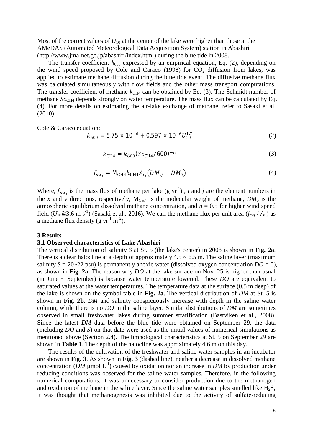Most of the correct values of  $U_{10}$  at the center of the lake were higher than those at the AMeDAS (Automated Meteorological Data Acquisition System) station in Abashiri (http://www.jma-net.go.jp/abashiri/index.html) during the blue tide in 2008.

The transfer coefficient  $k_{600}$  expressed by an empirical equation, Eq. (2), depending on the wind speed proposed by Cole and Caraco (1998) for  $CO<sub>2</sub>$  diffusion from lakes, was applied to estimate methane diffusion during the blue tide event. The diffusive methane flux was calculated simultaneously with flow fields and the other mass transport computations. The transfer coefficient of methane  $k<sub>CH4</sub>$  can be obtained by Eq. (3). The Schmidt number of methane *Sc*<sub>CH4</sub> depends strongly on water temperature. The mass flux can be calculated by Eq. (4). For more details on estimating the air-lake exchange of methane, refer to Sasaki et al. (2010).

Cole & Caraco equation:

$$
k_{600} = 5.75 \times 10^{-6} + 0.597 \times 10^{-6} U_{10}^{1.7}
$$
 (2)

$$
k_{\text{CH4}} = k_{600} (Sc_{\text{CH4}} / 600)^{-n} \tag{3}
$$

$$
f_{mij} = \mathbf{M}_{\text{CH4}} k_{\text{CH4}} A_{ij} \big( D M_{ij} - D M_0 \big) \tag{4}
$$

Where,  $f_{mij}$  is the mass flux of methane per lake (g yr<sup>-1</sup>), *i* and *j* are the element numbers in the *x* and *y* directions, respectively,  $M_{CH4}$  is the molecular weight of methane,  $DM_0$  is the atmospheric equilibrium dissolved methane concentration, and  $n = 0.5$  for higher wind speed field  $(U_{10} \ge 3.6 \text{ m s}^{-1})$  (Sasaki et al., 2016). We call the methane flux per unit area  $(f_{\text{m}ij} / A_{ij})$  as a methane flux density (g  $yr^{-1}$  m<sup>-2</sup>).

#### **3 Results**

#### **3.1 Observed characteristics of Lake Abashiri**

The vertical distribution of salinity *S* at St. 5 (the lake's center) in 2008 is shown in **Fig. 2a**. There is a clear halocline at a depth of approximately  $4.5 \sim 6.5$  m. The saline layer (maximum salinity  $S = 20-22$  psu) is permanently anoxic water (dissolved oxygen concentration  $DO = 0$ ), as shown in **Fig. 2a**. The reason why *DO* at the lake surface on Nov. 25 is higher than usual (in June ~ September) is because water temperature lowered. These *DO* are equivalent to saturated values at the water temperatures. The temperature data at the surface (0.5 m deep) of the lake is shown on the symbol table in **Fig. 2a**. The vertical distribution of *DM* at St. 5 is shown in **Fig. 2b**. *DM* and salinity conspicuously increase with depth in the saline water column, while there is no *DO* in the saline layer. Similar distributions of *DM* are sometimes observed in small freshwater lakes during summer stratification (Bastviken et al., 2008). Since the latest *DM* data before the blue tide were obtained on September 29, the data (including *DO* and *S*) on that date were used as the initial values of numerical simulations as mentioned above (Section 2.4). The limnological characteristics at St. 5 on September 29 are shown in **Table 1**. The depth of the halocline was approximately 4.6 m on this day.

The results of the cultivation of the freshwater and saline water samples in an incubator are shown in **Fig. 3**. As shown in **Fig. 3** (dashed line), neither a decrease in dissolved methane concentration ( $\overline{DM}$  µmol  $\overline{L}^{-1}$ ) caused by oxidation nor an increase in  $DM$  by production under reducing conditions was observed for the saline water samples. Therefore, in the following numerical computations, it was unnecessary to consider production due to the methanogen and oxidation of methane in the saline layer. Since the saline water samples smelled like  $H_2S$ , it was thought that methanogenesis was inhibited due to the activity of sulfate-reducing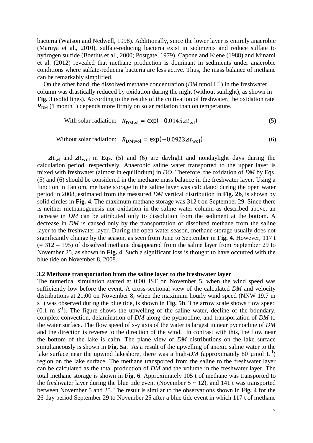bacteria (Watson and Nedwell, 1998). Additionally, since the lower layer is entirely anaerobic (Maruya et al., 2010), sulfate-reducing bacteria exist in sediments and reduce sulfate to hydrogen sulfide (Boetius et al., 2000; Postgate, 1979). Capone and Kiene (1988) and Minami et al. (2012) revealed that methane production is dominant in sediments under anaerobic conditions where sulfate-reducing bacteria are less active. Thus, the mass balance of methane can be remarkably simplified.

On the other hand, the dissolved methane concentration  $(DM \text{ nmol } L^{-1})$  in the freshwater column was drastically reduced by oxidation during the night (without sunlight), as shown in Fig. 3 (solid lines). According to the results of the cultivation of freshwater, the oxidation rate  $R_{DM}$  (1 month<sup>-1</sup>) depends more firmly on solar radiation than on temperature.

With solar radiation: 
$$
R_{\text{DMwl}} = \exp(-0.0145 \Delta t_{\text{wl}})
$$
 (5)

Without solar radiation: 
$$
R_{\text{DM} \text{wol}} = \exp(-0.0923 \Delta t_{\text{wol}})
$$
 (6)

 $\Delta t_{\text{wl}}$  and  $\Delta t_{\text{wol}}$  in Eqs. (5) and (6) are daylight and nondaylight days during the calculation period, respectively. Anaerobic saline water transported to the upper layer is mixed with freshwater (almost in equilibrium) in *DO*. Therefore, the oxidation of *DM* by Eqs. (5) and (6) should be considered in the methane mass balance in the freshwater layer. Using a function in Fantom, methane storage in the saline layer was calculated during the open water period in 2008, estimated from the measured *DM* vertical distribution in **Fig. 2b**, is shown by solid circles in **Fig. 4**. The maximum methane storage was 312 t on September 29. Since there is neither methanogenesis nor oxidation in the saline water column as described above, an increase in *DM* can be attributed only to dissolution from the sediment at the bottom. A decrease in *DM* is caused only by the transportation of dissolved methane from the saline layer to the freshwater layer. During the open water season, methane storage usually does not significantly change by the season, as seen from June to September in **Fig. 4**. However, 117 t  $(= 312 - 195)$  of dissolved methane disappeared from the saline layer from September 29 to November 25, as shown in **Fig. 4**. Such a significant loss is thought to have occurred with the blue tide on November 8, 2008.

#### **3.2 Methane transportation from the saline layer to the freshwater layer**

The numerical simulation started at 0:00 JST on November 5, when the wind speed was sufficiently low before the event. A cross-sectional view of the calculated *DM* and velocity distributions at 21:00 on November 8, when the maximum hourly wind speed (NNW 19.7 m s<sup>-1</sup>) was observed during the blue tide, is shown in **Fig. 5b**. The arrow scale shows flow speed  $(0.1 \text{ m s}^{-1})$ . The figure shows the upwelling of the saline water, decline of the boundary, complex convection, delamination of *DM* along the pycnocline, and transportation of *DM* to the water surface. The flow speed of x-y axis of the water is largest in near pycnocline of *DM* and the direction is reverse to the direction of the wind. In contrast with this, the flow near the bottom of the lake is calm. The plane view of *DM* distributions on the lake surface simultaneously is shown in **Fig. 5a**. As a result of the upwelling of anoxic saline water to the lake surface near the upwind lakeshore, there was a high- $DM$  (approximately 80 µmol  $L^{-1}$ ) region on the lake surface. The methane transported from the saline to the freshwater layer can be calculated as the total production of *DM* and the volume in the freshwater layer. The total methane storage is shown in **Fig. 6**. Approximately 105 t of methane was transported to the freshwater layer during the blue tide event (November  $5 \sim 12$ ), and 141 t was transported between November 5 and 25. The result is similar to the observations shown in **Fig. 4** for the 26-day period September 29 to November 25 after a blue tide event in which 117 t of methane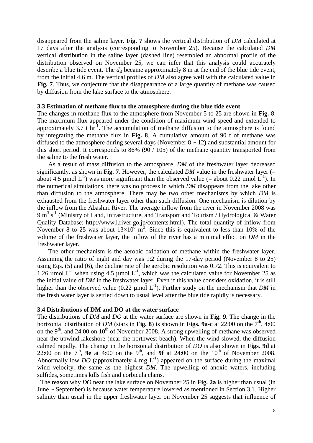disappeared from the saline layer. **Fig. 7** shows the vertical distribution of *DM* calculated at 17 days after the analysis (corresponding to November 25). Because the calculated *DM* vertical distribution in the saline layer (dashed line) resembled an abnormal profile of the distribution observed on November 25, we can infer that this analysis could accurately describe a blue tide event. The  $d<sub>B</sub>$  became approximately 8 m at the end of the blue tide event, from the initial 4.6 m. The vertical profiles of *DM* also agree well with the calculated value in **Fig. 7**. Thus, we conjecture that the disappearance of a large quantity of methane was caused by diffusion from the lake surface to the atmosphere.

#### **3.3 Estimation of methane flux to the atmosphere during the blue tide event**

The changes in methane flux to the atmosphere from November 5 to 25 are shown in **Fig. 8**. The maximum flux appeared under the condition of maximum wind speed and extended to approximately 3.7 t  $hr^{-1}$ . The accumulation of methane diffusion to the atmosphere is found by integrating the methane flux in **Fig. 8**. A cumulative amount of 90 t of methane was diffused to the atmosphere during several days (November 8 ~ 12**)** and substantial amount for this short period. It corresponds to 86% (90 / 105) of the methane quantity transported from the saline to the fresh water.

As a result of mass diffusion to the atmosphere, *DM* of the freshwater layer decreased significantly, as shown in **Fig. 7**. However, the calculated *DM* value in the freshwater layer (= about 4.5 µmol  $L^{-1}$ ) was more significant than the observed value (= about 0.22 µmol  $L^{-1}$ ). In the numerical simulations, there was no process in which *DM* disappears from the lake other than diffusion to the atmosphere. There may be two other mechanisms by which *DM* is exhausted from the freshwater layer other than such diffusion. One mechanism is dilution by the inflow from the Abashiri River. The average inflow from the river in November 2008 was 9 m<sup>3</sup> s<sup>-1</sup> (Ministry of Land, Infrastructure, and Transport and Tourism / Hydrological & Water Quality Database: http://www1.river.go.jp/contents.html). The total quantity of inflow from November 8 to 25 was about  $13\times10^{\overline{6}}$  m<sup>3</sup>. Since this is equivalent to less than 10% of the volume of the freshwater layer, the inflow of the river has a minimal effect on *DM* in the freshwater layer.

The other mechanism is the aerobic oxidation of methane within the freshwater layer. Assuming the ratio of night and day was 1:2 during the 17-day period (November 8 to 25) using Eqs. (5) and (6), the decline rate of the aerobic resolution was 0.72. This is equivalent to 1.26 µmol  $L^{-1}$  when using 4.5 µmol  $L^{-1}$ , which was the calculated value for November 25 as the initial value of *DM* in the freshwater layer. Even if this value considers oxidation, it is still higher than the observed value (0.22  $\mu$ mol L<sup>-1</sup>). Further study on the mechanism that *DM* in the fresh water layer is settled down to usual level after the blue tide rapidly is necessary.

#### **3.4 Distributions of DM and DO at the water surface**

The distributions of *DM* and *DO* at the water surface are shown in **Fig. 9**. The change in the horizontal distribution of *DM* (stars in **Fig. 8**) is shown in **Figs. 9a-c** at 22:00 on the  $7<sup>th</sup>$ , 4:00 on the 9<sup>th</sup>, and 24:00 on 10<sup>th</sup> of November 2008. A strong upwelling of methane was observed near the upwind lakeshore (near the northwest beach). When the wind slowed, the diffusion calmed rapidly. The change in the horizontal distribution of *DO* is also shown in **Figs. 9d** at 22:00 on the  $7<sup>th</sup>$ , **9e** at 4:00 on the 9<sup>th</sup>, and **9f** at 24:00 on the 10<sup>th</sup> of November 2008. Abnormally low *DO* (approximately 4 mg  $L^{-1}$ ) appeared on the surface during the maximal wind velocity, the same as the highest *DM*. The upwelling of anoxic waters, including sulfides, sometimes kills fish and corbicula clams.

 The reason why *DO* near the lake surface on November 25 in **Fig. 2a** is higher than usual (in June ~ September) is because water temperature lowered as mentioned in Section 3.1. Higher salinity than usual in the upper freshwater layer on November 25 suggests that influence of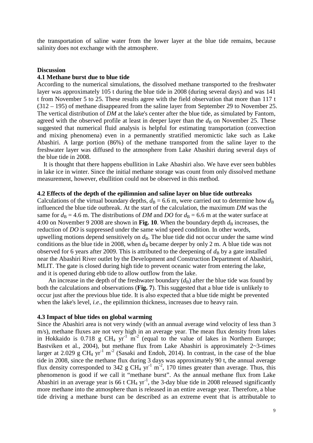the transportation of saline water from the lower layer at the blue tide remains, because salinity does not exchange with the atmosphere.

#### **Discussion**

### **4.1 Methane burst due to blue tide**

According to the numerical simulations, the dissolved methane transported to the freshwater layer was approximately 105 t during the blue tide in 2008 (during several days) and was 141 t from November 5 to 25. These results agree with the field observation that more than 117 t (312 – 195) of methane disappeared from the saline layer from September 29 to November 25. The vertical distribution of *DM* at the lake's center after the blue tide, as simulated by Fantom, agreed with the observed profile at least in deeper layer than the  $d<sub>B</sub>$  on November 25. These suggested that numerical fluid analysis is helpful for estimating transportation (convection and mixing phenomena) even in a permanently stratified meromictic lake such as Lake Abashiri. A large portion (86%) of the methane transported from the saline layer to the freshwater layer was diffused to the atmosphere from Lake Abashiri during several days of the blue tide in 2008.

It is thought that there happens ebullition in Lake Abashiri also. We have ever seen bubbles in lake ice in winter. Since the initial methane storage was count from only dissolved methane measurement, however, ebullition could not be observed in this method.

#### **4.2 Effects of the depth of the epilimnion and saline layer on blue tide outbreaks**

Calculations of the virtual boundary depths,  $d_B = 6.6$  m, were carried out to determine how  $d_B$ influenced the blue tide outbreak. At the start of the calculation, the maximum *DM* was the same for  $d_B = 4.6$  m. The distributions of *DM* and *DO* for  $d_B = 6.6$  m at the water surface at 4:00 on November 9 2008 are shown in **Fig. 10**. When the boundary depth  $d<sub>B</sub>$  increases, the reduction of *DO* is suppressed under the same wind speed condition. In other words, upwelling motions depend sensitively on  $d<sub>B</sub>$ . The blue tide did not occur under the same wind conditions as the blue tide in 2008, when  $d<sub>B</sub>$  became deeper by only 2 m. A blue tide was not observed for 6 years after 2009. This is attributed to the deepening of  $d<sub>B</sub>$  by a gate installed near the Abashiri River outlet by the Development and Construction Department of Abashiri, MLIT. The gate is closed during high tide to prevent oceanic water from entering the lake, and it is opened during ebb tide to allow outflow from the lake.

An increase in the depth of the freshwater boundary  $(d_B)$  after the blue tide was found by both the calculations and observations (**Fig. 7**). This suggested that a blue tide is unlikely to occur just after the previous blue tide. It is also expected that a blue tide might be prevented when the lake's level, *i.e*., the epilimnion thickness, increases due to heavy rain.

#### **4.3 Impact of blue tides on global warming**

Since the Abashiri area is not very windy (with an annual average wind velocity of less than 3 m/s), methane fluxes are not very high in an average year. The mean flux density from lakes in Hokkaido is 0.718 g CH<sub>4</sub> yr<sup>-1</sup> m<sup>-2</sup> (equal to the value of lakes in Northern Europe; Bastviken et al., 2004), but methane flux from Lake Abashiri is approximately  $2 \sim 3$ -times larger at 2.029 g CH<sub>4</sub> yr<sup>-1</sup> m<sup>-2</sup> (Sasaki and Endoh, 2014). In contrast, in the case of the blue tide in 2008, since the methane flux during 3 days was approximately 90 t, the annual average flux density corresponded to 342 g CH<sub>4</sub> yr<sup>-1</sup> m<sup>-2</sup>, 170 times greater than average. Thus, this phenomenon is good if we call it "methane burst". As the annual methane flux from Lake Abashiri in an average year is 66 t CH<sub>4</sub> yr<sup>-1</sup>, the 3-day blue tide in 2008 released significantly more methane into the atmosphere than is released in an entire average year. Therefore, a blue tide driving a methane burst can be described as an extreme event that is attributable to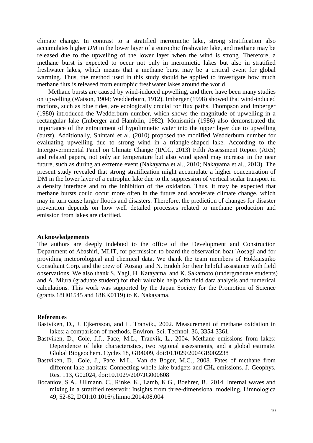climate change. In contrast to a stratified meromictic lake, strong stratification also accumulates higher *DM* in the lower layer of a eutrophic freshwater lake, and methane may be released due to the upwelling of the lower layer when the wind is strong. Therefore, a methane burst is expected to occur not only in meromictic lakes but also in stratified freshwater lakes, which means that a methane burst may be a critical event for global warming. Thus, the method used in this study should be applied to investigate how much methane flux is released from eutrophic freshwater lakes around the world.

Methane bursts are caused by wind-induced upwelling, and there have been many studies on upwelling (Watson, 1904; Wedderburn, 1912). Imberger (1998) showed that wind-induced motions, such as blue tides, are ecologically crucial for flux paths. Thompson and Imberger (1980) introduced the Wedderburn number, which shows the magnitude of upwelling in a rectangular lake (Imberger and Hamblin, 1982). Monismith (1986) also demonstrated the importance of the entrainment of hypolimnetic water into the upper layer due to upwelling (burst). Additionally, Shintani et al. (2010) proposed the modified Wedderburn number for evaluating upwelling due to strong wind in a triangle-shaped lake. According to the Intergovernmental Panel on Climate Change (IPCC, 2013) Fifth Assessment Report (AR5) and related papers, not only air temperature but also wind speed may increase in the near future, such as during an extreme event (Nakayama et al., 2010; Nakayama et al., 2013). The present study revealed that strong stratification might accumulate a higher concentration of DM in the lower layer of a eutrophic lake due to the suppression of vertical scalar transport in a density interface and to the inhibition of the oxidation. Thus, it may be expected that methane bursts could occur more often in the future and accelerate climate change, which may in turn cause larger floods and disasters. Therefore, the prediction of changes for disaster prevention depends on how well detailed processes related to methane production and emission from lakes are clarified.

#### **Acknowledgements**

The authors are deeply indebted to the office of the Development and Construction Department of Abashiri, MLIT, for permission to board the observation boat 'Aosagi' and for providing meteorological and chemical data. We thank the team members of Hokkaisuiko Consultant Corp. and the crew of 'Aosagi' and N. Endoh for their helpful assistance with field observations. We also thank S. Yagi, H. Katayama, and K. Sakamoto (undergraduate students) and A. Miura (graduate student) for their valuable help with field data analysis and numerical calculations. This work was supported by the Japan Society for the Promotion of Science (grants 18H01545 and 18KK0119) to K. Nakayama.

#### **References**

- Bastviken, D., J. Ejkertsson, and L. Tranvik., 2002. Measurement of methane oxidation in lakes: a comparison of methods. Environ. Sci. Technol. 36, 3354-3361.
- Bastviken, D., Cole, J.J., Pace, M.L., Tranvik, L., 2004. Methane emissions from lakes: Dependence of lake characteristics, two regional assessments, and a global estimate. Global Biogeochem. Cycles 18, GB4009, doi:10.1029/2004GB002238
- Bastviken, D., Cole, J., Pace, M.L., Van de Boger, M.C., 2008. Fates of methane from different lake habitats: Connecting whole-lake budgets and CH<sub>4</sub> emissions. J. Geophys. Res. 113, G02024, doi:10.1029/2007JG000608
- Bocaniov, S.A., Ullmann, C., Rinke, K., Lamb, K.G., Boehrer, B., 2014. Internal waves and mixing in a stratified reservoir: Insights from three-dimensional modeling. Limnologica 49, 52-62, DOI:10.1016/j.limno.2014.08.004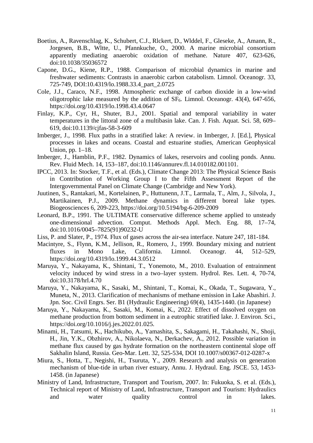- Boetius, A., Ravenschlag, K., Schubert, C.J., Rlckert, D., Wlddel, F., Gleseke, A., Amann, R., Jorgesen, B.B., Wltte, U., Pfannkuche, O., 2000. A marine microbial consortium apparently mediating anaerobic oxidation of methane. Nature 407, 623-626, doi:10.1038/35036572
- Capone, D.G., Kiene, R.P., 1988. Comparison of microbial dynamics in marine and freshwater sediments: Contrasts in anaerobic carbon catabolism. Limnol. Oceanogr. 33, 725-749, DOI:10.4319/lo.1988.33.4\_part\_2.0725
- Cole, J.J., Caraco, N.F., 1998. Atmospheric exchange of carbon dioxide in a low-wind oligotrophic lake measured by the addition of  $SF<sub>6</sub>$ . Limnol. Oceanogr. 43(4), 647-656, https://doi.org/10.4319/lo.1998.43.4.0647
- Finlay, K.P., Cyr, H., Shuter, B.J., 2001. Spatial and temporal variability in water temperatures in the littoral zone of a multibasin lake. Can. J. Fish. Aquat. Sci. 58, 609– 619, doi:10.1139/cjfas-58-3-609
- Imberger, J., 1998. Flux paths in a stratified lake: A review. in Imberger, J. [Ed.], Physical processes in lakes and oceans. Coastal and estuarine studies, American Geophysical Union, pp. 1–18.
- Imberger, J., Hamblin, P.F., 1982. Dynamics of lakes, reservoirs and cooling ponds. Annu. Rev. Fluid Mech. 14, 153–187, doi:10.1146/annurev.fl.14.010182.001101.
- IPCC, 2013. In: Stocker, T.F., et al. (Eds.), Climate Change 2013: The Physical Science Basis in Contribution of Working Group I to the Fifth Assessment Report of the Intergovernmental Panel on Climate Change (Cambridge and New York).
- Juutinen, S., Rantakari, M., Kortelainen, P., Huttunenn, J.T., Larmala, T., Alm, J., Silvola, J., Martikainen, P.J., 2009. Methane dynamics in different boreal lake types. Biogeosciences 6, 209-223, https://doi.org/10.5194/bg-6-209-2009
- Leonard, B.P., 1991. The ULTIMATE conservative difference scheme applied to unsteady one-dimensional advection. Comput. Methods Appl. Mech. Eng. 88, 17–74, doi:10.1016/0045–7825(91)90232-U
- Liss, P. and Slater, P., 1974. Flux of gases across the air-sea interface. Nature 247, 181-184.
- Macintyre, S., Flynn, K.M., Jellison, R., Romero, J., 1999. Boundary mixing and nutrient fluxes in Mono Lake, California. Limnol. Oceanogr. 44, 512–529, https://doi.org/10.4319/lo.1999.44.3.0512
- Maruya, Y., Nakayama, K., Shintani, T., Yonemoto, M., 2010. Evaluation of entrainment velocity induced by wind stress in a two–layer system. Hydrol. Res. Lett. 4, 70-74, doi:10.3178/hrl.4.70
- Maruya, Y., Nakayama, K., Sasaki, M., Shintani, T., Komai, K., Okada, T., Sugawara, Y., Muneta, N., 2013. Clarification of mechanisms of methane emission in Lake Abashiri. J. Jpn. Soc. Civil Engrs. Ser. B1 (Hydraulic Engineering) 69(4), 1435-1440. (in Japanese)
- Maruya, Y., Nakayama, K., Sasaki, M., Komai, K., 2022. Effect of dissolved oxygen on methane production from bottom sediment in a eutrophic stratified lake. J. Environ. Sci., https://doi.org/10.1016/j.jes.2022.01.025.
- Minami, H., Tatsumi, K., Hachikubo, A., Yamashita, S., Sakagami, H., Takahashi, N., Shoji, H., Jin, Y.K., Obzhirov, A., Nikolaeva, N., Derkachev, A., 2012. Possible variation in methane flux caused by gas hydrate formation on the northeastern continental slope off Sakhalin Island, Russia. Geo-Mar. Lett. 32, 525-534, DOI 10.1007/s00367-012-0287-x
- Miura, S., Hotta, T., Negishi, H., Tsuruta, Y., 2009. Research and analysis on generation mechanism of blue-tide in urban river estuary, Annu. J. Hydraul. Eng. JSCE. 53, 1453- 1458. (in Japanese)
- Ministry of Land, Infrastructure, Transport and Tourism, 2007. In: Fukuoka, S. et al. (Eds.), Technical report of Ministry of Land, Infrastructure, Transport and Tourism: Hydraulics and water quality control in lakes.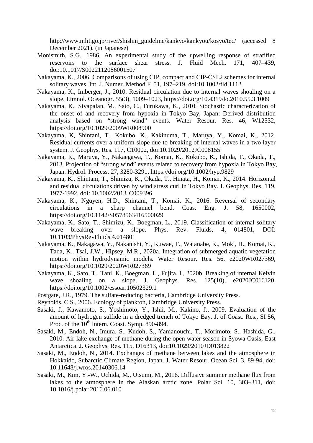http://www.mlit.go.jp/river/shishin\_guideline/kankyo/kankyou/kosyo/tec/ (accessed 8 December 2021). (in Japanese)

- Monismith, S.G., 1986. An experimental study of the upwelling response of stratified reservoirs to the surface shear stress. J. Fluid Mech. 171, 407–439, doi:10.1017/S0022112086001507
- Nakayama, K., 2006. Comparisons of using CIP, compact and CIP-CSL2 schemes for internal solitary waves. Int. J. Numer. Method F. 51, 197–219, doi:10.1002/fld.1112
- Nakayama, K., Imberger, J., 2010. Residual circulation due to internal waves shoaling on a slope. Limnol. Oceanogr. 55(3), 1009–1023, https://doi.org/10.4319/lo.2010.55.3.1009
- Nakayama, K., Sivapalan, M., Sato, C., Furukawa, K., 2010. Stochastic characterization of the onset of and recovery from hypoxia in Tokyo Bay, Japan: Derived distribution analysis based on "strong wind" events. Water Resour. Res. 46, W12532, https://doi.org/10.1029/2009WR008900
- Nakayama, K, Shintani, T., Kokubo, K., Kakinuma, T., Maruya, Y., Komai, K., 2012. Residual currents over a uniform slope due to breaking of internal waves in a two-layer system. J. Geophys. Res. 117, C10002, doi:10.1029/2012JC008155
- Nakayama, K., Maruya, Y., Nakaegawa, T., Komai, K., Kokubo, K., Ishida, T., Okada, T., 2013. Projection of "strong wind" events related to recovery from hypoxia in Tokyo Bay, Japan. Hydrol. Process. 27, 3280-3291, https://doi.org/10.1002/hyp.9829
- Nakayama, K., Shintani, T., Shimizu, K., Okada, T., Hinata, H., Komai, K., 2014. Horizontal and residual circulations driven by wind stress curl in Tokyo Bay. J. Geophys. Res. 119, 1977-1992, doi: 10.1002/2013JC009396
- Nakayama, K., Nguyen, H.D., Shintani, T., Komai, K., 2016. Reversal of secondary circulations in a sharp channel bend. Coas. Eng. J. 58, 1650002, https://doi.org/10.1142/S0578563416500029
- Nakayama, K., Sato, T., Shimizu, K., Boegman, L., 2019. Classification of internal solitary wave breaking over a slope. Phys. Rev. Fluids, 4, 014801, DOI: 10.1103/PhysRevFluids.4.014801
- Nakayama, K., Nakagawa, Y., Nakanishi, Y., Kuwae, T., Watanabe, K., Moki, H., Komai, K., Tada, K., Tsai, J.W., Hipsey, M.R., 2020a. Integration of submerged aquatic vegetation motion within hydrodynamic models. Water Resour. Res. 56, e2020WR027369, https://doi.org/10.1029/2020WR027369
- Nakayama, K., Sato, T., Tani, K., Boegman, L., Fujita, I., 2020b. Breaking of internal Kelvin wave shoaling on a slope. J. Geophys. Res. 125(10), e2020JC016120, https://doi.org/10.1002/essoar.10502329.1
- Postgate, J.R., 1979. The sulfate-reducing bacteria, Cambridge University Press.
- Reynolds, C.S., 2006. Ecology of plankton, Cambridge University Press.
- Sasaki, J., Kawamoto, S., Yoshimoto, Y., Ishii, M., Kakino, J., 2009. Evaluation of the amount of hydrogen sulfide in a dredged trench of Tokyo Bay. J. of Coast. Res., SI 56, Proc. of the  $10^{th}$  Intern. Coast. Symp. 890-894.
- Sasaki, M., Endoh, N., Imura, S., Kudoh, S., Yamanouchi, T., Morimoto, S., Hashida, G., 2010. Air-lake exchange of methane during the open water season in Syowa Oasis, East Antarctica. J. Geophys. Res. 115, D16313, doi:10.1029/2010JD013822
- Sasaki, M., Endoh, N., 2014. Exchanges of methane between lakes and the atmosphere in Hokkaido, Subarctic Climate Region, Japan. J. Water Resour. Ocean Sci. 3, 89-94, doi: 10.11648/j.wros.20140306.14
- Sasaki, M., Kim, Y.-W., Uchida, M., Utsumi, M., 2016. Diffusive summer methane flux from lakes to the atmosphere in the Alaskan arctic zone. Polar Sci. 10, 303–311, doi: 10.1016/j.polar.2016.06.010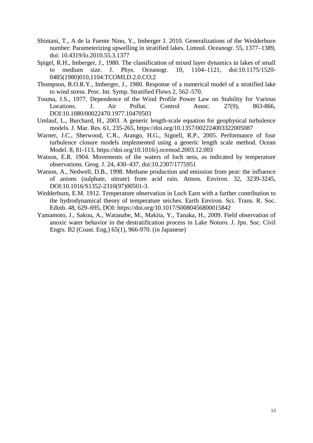- Shintani, T., A de la Fuente Nino, Y., Imberger J. 2010. Generalizations of the Wedderburn number: Parameterizing upwelling in stratified lakes. Limnol. Oceanogr. 55, 1377–1389, doi: 10.4319/lo.2010.55.3.1377
- Spigel, R.H., Imberger, J., 1980. The classification of mixed layer dynamics in lakes of small to medium size. J. Phys. Oceanogr. 10, 1104–1121, doi:10.1175/1520- 0485(1980)010,1104:TCOMLD.2.0.CO;2
- Thompson, R.O.R.Y., Imberger, J., 1980. Response of a numerical model of a stratified lake to wind stress. Proc. Int. Symp. Stratified Flows 2, 562–570.
- Touma, J.S., 1977. Dependence of the Wind Profile Power Law on Stability for Various Locations. J. Air Pollut. Control Assoc. 27(9), 863-866, DOI:10.1080/00022470.1977.10470503
- Umlauf, L., Burchard, H., 2003. A generic length-scale equation for geophysical turbulence models. J. Mar. Res. 61, 235-265, https://doi.org/10.1357/002224003322005087
- Warner, J.C., Sherwood, C.R., Arango, H.G., Signell, R.P., 2005. Performance of four turbulence closure models implemented using a generic length scale method. Ocean Model. 8, 81-113, https://doi.org/10.1016/j.ocemod.2003.12.003
- Watson, E.R. 1904. Movements of the waters of loch ness, as indicated by temperature observations. Geog. J. 24, 430–437, doi:10.2307/1775951
- Watson, A., Nedwell, D.B., 1998. Methane production and emission from peat: the influence of anions (sulphate, nitrate) from acid rain. Atmos. Environ. 32, 3239-3245, DOI:10.1016/S1352-2310(97)00501-3.
- Wedderburn, E.M. 1912. Temperature observation in Loch Earn with a further contribution to the hydrodynamical theory of temperature seiches. Earth Environ. Sci. Trans. R. Soc. Edinb. 48, 629–695, DOI: https://doi.org/10.1017/S0080456800015842
- Yamamoto, J., Sakou, A., Watanabe, M., Makita, Y., Tanaka, H., 2009. Field observation of anoxic water behavior in the destratification process in Lake Notoro. J. Jpn. Soc. Civil Engrs. B2 (Coast. Eng.) 65(1), 966-970. (in Japanese)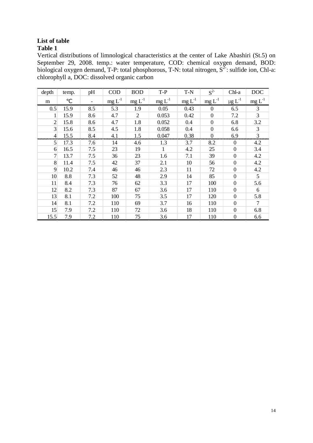# **List of table**

# **Table 1**

Vertical distributions of limnological characteristics at the center of Lake Abashiri (St.5) on September 29, 2008. temp.: water temperature, COD: chemical oxygen demand, BOD: biological oxygen demand, T-P: total phosphorous, T-N: total nitrogen,  $S^2$ : sulfide ion, Chl-a: chlorophyll a, DOC: dissolved organic carbon

| depth          | temp. | pH  | <b>COD</b> | <b>BOD</b>     | $T-P$        | $T-N$    | $S^2$            | Chl-a                   | <b>DOC</b> |
|----------------|-------|-----|------------|----------------|--------------|----------|------------------|-------------------------|------------|
| m              |       |     | $mg L-1$   | $mg L-1$       | $mg L^{-1}$  | $mg L-1$ | $mg L^{-1}$      | $\mu$ g L <sup>-1</sup> | $mg L-1$   |
| 0.5            | 15.9  | 8.5 | 5.3        | 1.9            | 0.05         | 0.43     | $\mathbf{0}$     | 6.5                     | 3          |
| 1              | 15.9  | 8.6 | 4.7        | $\overline{2}$ | 0.053        | 0.42     | $\boldsymbol{0}$ | 7.2                     | 3          |
| $\overline{2}$ | 15.8  | 8.6 | 4.7        | 1.8            | 0.052        | 0.4      | $\boldsymbol{0}$ | 6.8                     | 3.2        |
| 3              | 15.6  | 8.5 | 4.5        | 1.8            | 0.058        | 0.4      | $\boldsymbol{0}$ | 6.6                     | 3          |
| $\overline{4}$ | 15.5  | 8.4 | 4.1        | 1.5            | 0.047        | 0.38     | $\mathbf{0}$     | 6.9                     | 3          |
| 5 <sup>1</sup> | 17.3  | 7.6 | 14         | 4.6            | 1.3          | 3.7      | 8.2              | $\Omega$                | 4.2        |
| 6              | 16.5  | 7.5 | 23         | 19             | $\mathbf{1}$ | 4.2      | 25               | $\overline{0}$          | 3.4        |
| $\overline{7}$ | 13.7  | 7.5 | 36         | 23             | 1.6          | 7.1      | 39               | $\overline{0}$          | 4.2        |
| 8              | 11.4  | 7.5 | 42         | 37             | 2.1          | 10       | 56               | $\boldsymbol{0}$        | 4.2        |
| 9              | 10.2  | 7.4 | 46         | 46             | 2.3          | 11       | 72               | $\boldsymbol{0}$        | 4.2        |
| 10             | 8.8   | 7.3 | 52         | 48             | 2.9          | 14       | 85               | $\mathbf{0}$            | 5          |
| 11             | 8.4   | 7.3 | 76         | 62             | 3.3          | 17       | 100              | $\mathbf{0}$            | 5.6        |
| 12             | 8.2   | 7.3 | 87         | 67             | 3.6          | 17       | 110              | $\boldsymbol{0}$        | 6          |
| 13             | 8.1   | 7.2 | 100        | 75             | 3.5          | 17       | 120              | $\theta$                | 5.8        |
| 14             | 8.1   | 7.2 | 110        | 69             | 3.7          | 16       | 110              | $\overline{0}$          | 7          |
| 15             | 7.9   | 7.2 | 110        | 72             | 3.6          | 18       | 110              | $\mathbf{0}$            | 6.8        |
| 15.5           | 7.9   | 7.2 | 110        | 75             | 3.6          | 17       | 110              | $\boldsymbol{0}$        | 6.6        |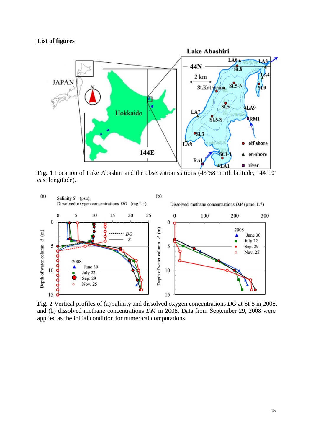# **List of figures**



**Fig. 1** Location of Lake Abashiri and the observation stations (43°58' north latitude, 144°10' east longitude).



**Fig. 2** Vertical profiles of (a) salinity and dissolved oxygen concentrations *DO* at St-5 in 2008, and (b) dissolved methane concentrations *DM* in 2008. Data from September 29, 2008 were applied as the initial condition for numerical computations.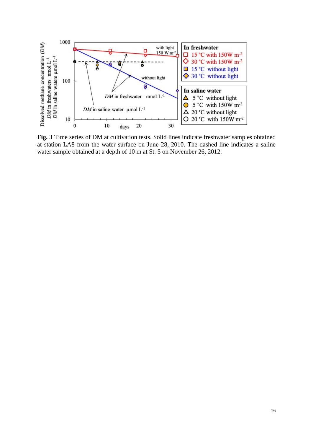

**Fig. 3** Time series of DM at cultivation tests. Solid lines indicate freshwater samples obtained at station LA8 from the water surface on June 28, 2010. The dashed line indicates a saline water sample obtained at a depth of 10 m at St. 5 on November 26, 2012.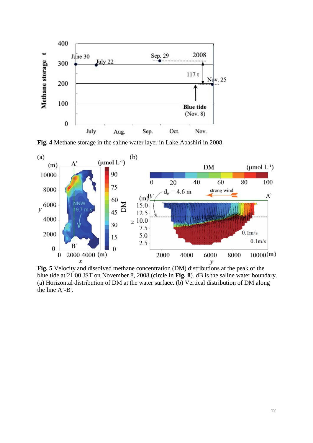

**Fig. 4** Methane storage in the saline water layer in Lake Abashiri in 2008.



**Fig. 5** Velocity and dissolved methane concentration (DM) distributions at the peak of the blue tide at 21:00 JST on November 8, 2008 (circle in **Fig. 8**). dB is the saline water boundary. (a) Horizontal distribution of DM at the water surface. (b) Vertical distribution of DM along the line A'-B'.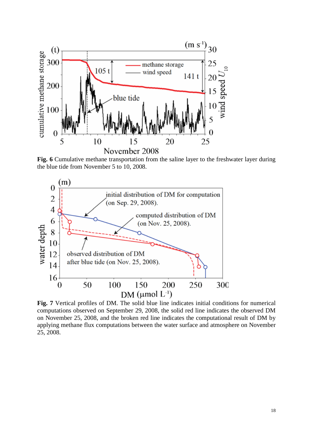

**Fig. 6** Cumulative methane transportation from the saline layer to the freshwater layer during the blue tide from November 5 to 10, 2008.



**Fig. 7** Vertical profiles of DM. The solid blue line indicates initial conditions for numerical computations observed on September 29, 2008, the solid red line indicates the observed DM on November 25, 2008, and the broken red line indicates the computational result of DM by applying methane flux computations between the water surface and atmosphere on November 25, 2008.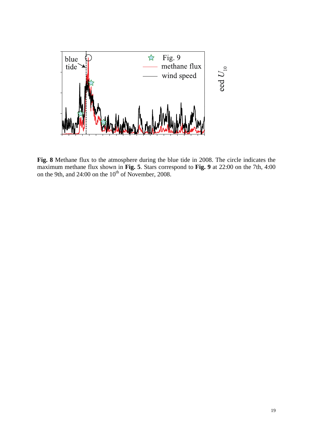

**Fig. 8** Methane flux to the atmosphere during the blue tide in 2008. The circle indicates the maximum methane flux shown in **Fig. 5**. Stars correspond to **Fig. 9** at 22:00 on the 7th, 4:00 on the 9th, and 24:00 on the  $10^{th}$  of November, 2008.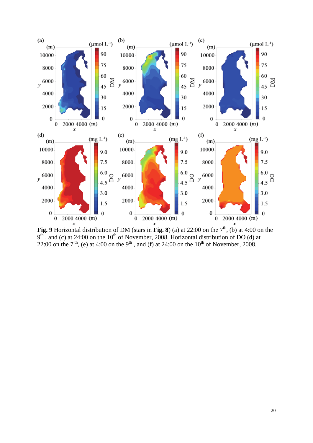

**Fig. 9** Horizontal distribution of DM (stars in **Fig. 8**) (a) at 22:00 on the  $7<sup>th</sup>$ , (b) at 4:00 on the  $9<sup>th</sup>$ , and (c) at 24:00 on the 10<sup>th</sup> of November, 2008. Horizontal distribution of DO (d) at 22:00 on the 7<sup>th</sup>, (e) at 4:00 on the 9<sup>th</sup>, and (f) at 24:00 on the 10<sup>th</sup> of November, 2008.